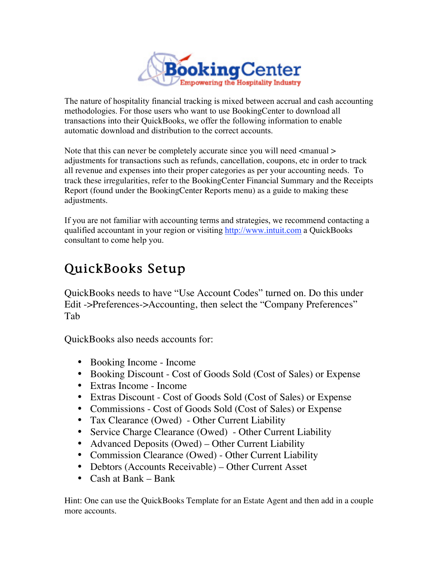

The nature of hospitality financial tracking is mixed between accrual and cash accounting methodologies. For those users who want to use BookingCenter to download all transactions into their QuickBooks, we offer the following information to enable automatic download and distribution to the correct accounts.

Note that this can never be completely accurate since you will need  $\langle$  manual  $\rangle$ adjustments for transactions such as refunds, cancellation, coupons, etc in order to track all revenue and expenses into their proper categories as per your accounting needs. To track these irregularities, refer to the BookingCenter Financial Summary and the Receipts Report (found under the BookingCenter Reports menu) as a guide to making these adjustments.

If you are not familiar with accounting terms and strategies, we recommend contacting a qualified accountant in your region or visiting http://www.intuit.com a QuickBooks consultant to come help you.

# QuickBooks Setup

QuickBooks needs to have "Use Account Codes" turned on. Do this under Edit ->Preferences->Accounting, then select the "Company Preferences" Tab

QuickBooks also needs accounts for:

- Booking Income Income
- Booking Discount Cost of Goods Sold (Cost of Sales) or Expense
- Extras Income Income
- Extras Discount Cost of Goods Sold (Cost of Sales) or Expense
- Commissions Cost of Goods Sold (Cost of Sales) or Expense
- Tax Clearance (Owed) Other Current Liability
- Service Charge Clearance (Owed) Other Current Liability
- Advanced Deposits (Owed) Other Current Liability
- Commission Clearance (Owed) Other Current Liability
- Debtors (Accounts Receivable) Other Current Asset
- Cash at Bank Bank

Hint: One can use the QuickBooks Template for an Estate Agent and then add in a couple more accounts.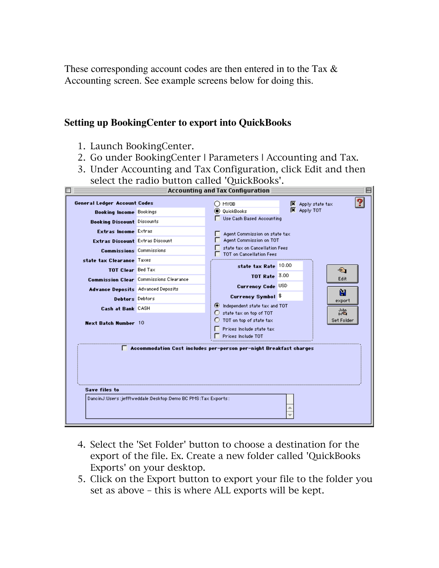These corresponding account codes are then entered in to the Tax  $\&$ Accounting screen. See example screens below for doing this.

#### **Setting up BookingCenter to export into QuickBooks**

- 1. Launch BookingCenter.
- 2. Go under BookingCenter | Parameters | Accounting and Tax.
- 3. Under Accounting and Tax Configuration, click Edit and then select the radio button called 'QuickBooks'.

| <b>Accounting and Tax Configuration</b> |                                                             |                                                                                                                                                                                    |
|-----------------------------------------|-------------------------------------------------------------|------------------------------------------------------------------------------------------------------------------------------------------------------------------------------------|
| <b>General Ledger Account Codes</b>     |                                                             | ൗ<br>∩ мүов<br>Apply state tax                                                                                                                                                     |
| <b>Booking Income Bookings</b>          |                                                             | $\overline{\mathbf{X}}$ Apply TOT<br><b>O</b> QuickBooks                                                                                                                           |
| <b>Booking Discount Discounts</b>       |                                                             | Use Cash Based Accounting                                                                                                                                                          |
| Extras Income Extras                    |                                                             | Agent Commission on state tax                                                                                                                                                      |
| Extras Discount Extras Discount         |                                                             | Agent Commission on TOT                                                                                                                                                            |
| <b>Commissions</b> Commissions          |                                                             | state tax on Cancellation Fees<br>TOT on Cancellation Fees                                                                                                                         |
| state tax Clearance Taxes               |                                                             |                                                                                                                                                                                    |
| TOT Clear Bed Tax                       |                                                             | state tax Rate 10.00<br>☜                                                                                                                                                          |
|                                         | <b>Commission Clear</b> Commissions Clearance               | TOT Rate 3.00<br>Edit                                                                                                                                                              |
| Advance Deposits Advanced Deposits      |                                                             | Currency Code USD                                                                                                                                                                  |
| <b>Debtors</b> Debtors                  |                                                             | Ĥ<br>Currency Symbol \$                                                                                                                                                            |
| Cash at Bank CASH                       |                                                             | export<br>Independent state tax and TOT                                                                                                                                            |
| <b>Next Batch Number 10</b>             |                                                             | John<br>state tax on top of TOT<br>O<br>Do Q<br>$\bigcirc$ TOT on top of state tax<br>Set Folder<br>$\Box$ Prices include state tax<br>$\overline{\phantom{a}}$ Prices Include TOT |
|                                         |                                                             | Accommodation Cost includes per-person per-night Breakfast charges                                                                                                                 |
| <b>Save files to</b>                    |                                                             |                                                                                                                                                                                    |
|                                         | Dancind:Users:jefftweddale:Desktop:Demo BC PMS:Tax Exports: |                                                                                                                                                                                    |

- 4. Select the 'Set Folder' button to choose a destination for the export of the file. Ex. Create a new folder called 'QuickBooks Exports' on your desktop.
- 5. Click on the Export button to export your file to the folder you set as above – this is where ALL exports will be kept.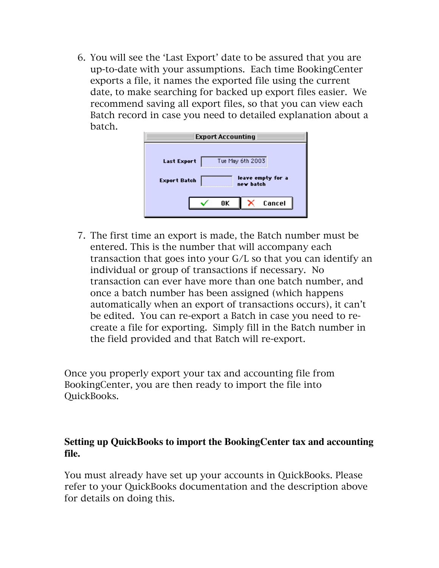6. You will see the 'Last Export' date to be assured that you are up-to-date with your assumptions. Each time BookingCenter exports a file, it names the exported file using the current date, to make searching for backed up export files easier. We recommend saving all export files, so that you can view each Batch record in case you need to detailed explanation about a batch.

| <b>Export Accounting</b>                              |  |  |  |
|-------------------------------------------------------|--|--|--|
| Tue May 6th 2003<br><b>Last Export</b>                |  |  |  |
| leave empty for a<br><b>Export Batch</b><br>new batch |  |  |  |
| Cancel<br>0K                                          |  |  |  |

7. The first time an export is made, the Batch number must be entered. This is the number that will accompany each transaction that goes into your G/L so that you can identify an individual or group of transactions if necessary. No transaction can ever have more than one batch number, and once a batch number has been assigned (which happens automatically when an export of transactions occurs), it can't be edited. You can re-export a Batch in case you need to recreate a file for exporting. Simply fill in the Batch number in the field provided and that Batch will re-export.

Once you properly export your tax and accounting file from BookingCenter, you are then ready to import the file into QuickBooks.

#### **Setting up QuickBooks to import the BookingCenter tax and accounting file.**

You must already have set up your accounts in QuickBooks. Please refer to your QuickBooks documentation and the description above for details on doing this.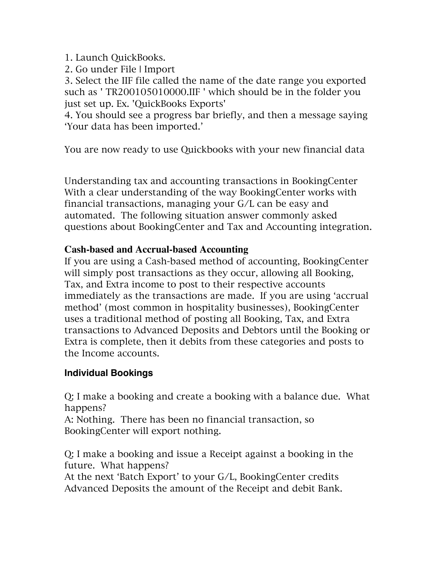1. Launch QuickBooks.

2. Go under File | Import

3. Select the IIF file called the name of the date range you exported such as ' TR200105010000.IIF ' which should be in the folder you just set up. Ex. 'QuickBooks Exports'

4. You should see a progress bar briefly, and then a message saying 'Your data has been imported.'

You are now ready to use Quickbooks with your new financial data

Understanding tax and accounting transactions in BookingCenter With a clear understanding of the way BookingCenter works with financial transactions, managing your G/L can be easy and automated. The following situation answer commonly asked questions about BookingCenter and Tax and Accounting integration.

### **Cash-based and Accrual-based Accounting**

If you are using a Cash-based method of accounting, BookingCenter will simply post transactions as they occur, allowing all Booking, Tax, and Extra income to post to their respective accounts immediately as the transactions are made. If you are using 'accrual method' (most common in hospitality businesses), BookingCenter uses a traditional method of posting all Booking, Tax, and Extra transactions to Advanced Deposits and Debtors until the Booking or Extra is complete, then it debits from these categories and posts to the Income accounts.

#### **Individual Bookings**

Q: I make a booking and create a booking with a balance due. What happens?

A: Nothing. There has been no financial transaction, so BookingCenter will export nothing.

Q: I make a booking and issue a Receipt against a booking in the future. What happens?

At the next 'Batch Export' to your G/L, BookingCenter credits Advanced Deposits the amount of the Receipt and debit Bank.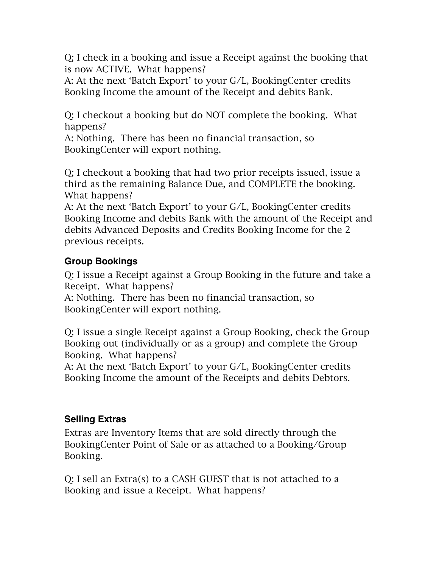Q: I check in a booking and issue a Receipt against the booking that is now ACTIVE. What happens?

A: At the next 'Batch Export' to your G/L, BookingCenter credits Booking Income the amount of the Receipt and debits Bank.

Q: I checkout a booking but do NOT complete the booking. What happens?

A: Nothing. There has been no financial transaction, so BookingCenter will export nothing.

Q: I checkout a booking that had two prior receipts issued, issue a third as the remaining Balance Due, and COMPLETE the booking. What happens?

A: At the next 'Batch Export' to your G/L, BookingCenter credits Booking Income and debits Bank with the amount of the Receipt and debits Advanced Deposits and Credits Booking Income for the 2 previous receipts.

## **Group Bookings**

Q: I issue a Receipt against a Group Booking in the future and take a Receipt. What happens?

A: Nothing. There has been no financial transaction, so BookingCenter will export nothing.

Q: I issue a single Receipt against a Group Booking, check the Group Booking out (individually or as a group) and complete the Group Booking. What happens?

A: At the next 'Batch Export' to your G/L, BookingCenter credits Booking Income the amount of the Receipts and debits Debtors.

## **Selling Extras**

Extras are Inventory Items that are sold directly through the BookingCenter Point of Sale or as attached to a Booking/Group Booking.

Q: I sell an Extra(s) to a CASH GUEST that is not attached to a Booking and issue a Receipt. What happens?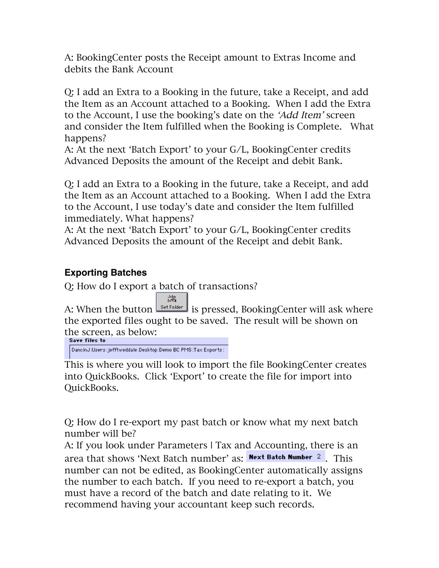A: BookingCenter posts the Receipt amount to Extras Income and debits the Bank Account

Q: I add an Extra to a Booking in the future, take a Receipt, and add the Item as an Account attached to a Booking. When I add the Extra to the Account, I use the booking's date on the 'Add Item' screen and consider the Item fulfilled when the Booking is Complete. What happens?

A: At the next 'Batch Export' to your G/L, BookingCenter credits Advanced Deposits the amount of the Receipt and debit Bank.

Q: I add an Extra to a Booking in the future, take a Receipt, and add the Item as an Account attached to a Booking. When I add the Extra to the Account, I use today's date and consider the Item fulfilled immediately. What happens?

A: At the next 'Batch Export' to your G/L, BookingCenter credits Advanced Deposits the amount of the Receipt and debit Bank.

#### **Exporting Batches**

Q: How do I export a batch of transactions?

John<br>Do<sup>G</sup>

A: When the button **Set Folder** is pressed, BookingCenter will ask where the exported files ought to be saved. The result will be shown on the screen, as below:<br>Save files to

DancinJ:Users:jefftweddale:Desktop:Demo BC PMS:Tax Exports:

This is where you will look to import the file BookingCenter creates into QuickBooks. Click 'Export' to create the file for import into QuickBooks.

Q: How do I re-export my past batch or know what my next batch number will be?

A: If you look under Parameters | Tax and Accounting, there is an area that shows 'Next Batch number' as: Next Batch Number 2. This number can not be edited, as BookingCenter automatically assigns the number to each batch. If you need to re-export a batch, you must have a record of the batch and date relating to it. We recommend having your accountant keep such records.